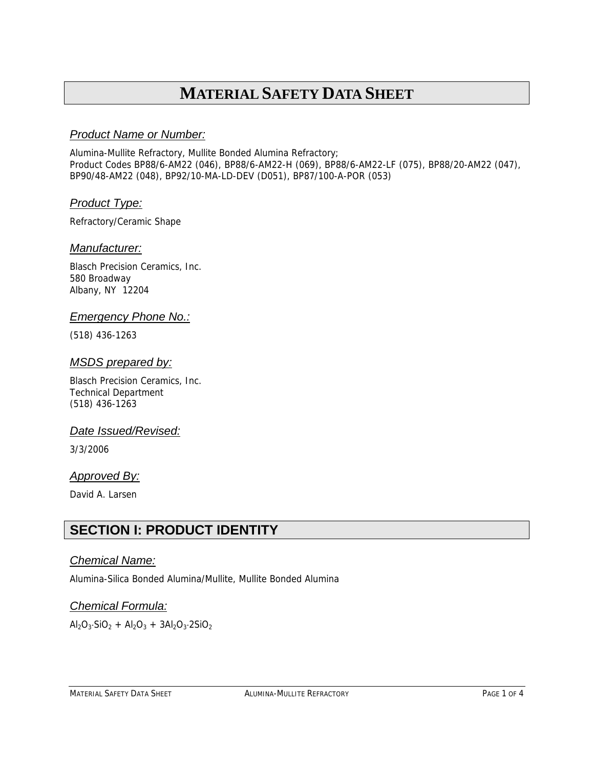# **MATERIAL SAFETY DATA SHEET**

### *Product Name or Number:*

Alumina-Mullite Refractory, Mullite Bonded Alumina Refractory; Product Codes BP88/6-AM22 (046), BP88/6-AM22-H (069), BP88/6-AM22-LF (075), BP88/20-AM22 (047), BP90/48-AM22 (048), BP92/10-MA-LD-DEV (D051), BP87/100-A-POR (053)

### *Product Type:*

Refractory/Ceramic Shape

### *Manufacturer:*

Blasch Precision Ceramics, Inc. 580 Broadway Albany, NY 12204

### *Emergency Phone No.:*

(518) 436-1263

### *MSDS prepared by:*

Blasch Precision Ceramics, Inc. Technical Department (518) 436-1263

### *Date Issued/Revised:*

3/3/2006

### *Approved By:*

David A. Larsen

### **SECTION I: PRODUCT IDENTITY**

### *Chemical Name:*

Alumina-Silica Bonded Alumina/Mullite, Mullite Bonded Alumina

### *Chemical Formula:*

 $\text{Al}_2\text{O}_3 \cdot \text{SiO}_2 + \text{Al}_2\text{O}_3 + 3\text{Al}_2\text{O}_3 \cdot 2\text{SiO}_2$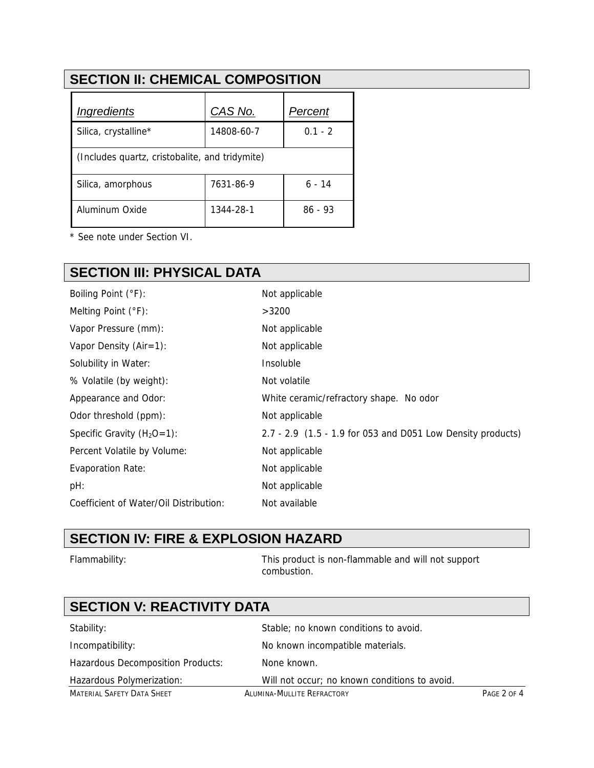# **SECTION II: CHEMICAL COMPOSITION**

| Ingredients                                    | CAS No.    | Percent   |  |  |
|------------------------------------------------|------------|-----------|--|--|
| Silica, crystalline*                           | 14808-60-7 | $0.1 - 2$ |  |  |
| (Includes quartz, cristobalite, and tridymite) |            |           |  |  |
| Silica, amorphous                              | 7631-86-9  | 6 - 14    |  |  |
| Aluminum Oxide                                 | 1344-28-1  | 86 - 93   |  |  |

\* See note under Section VI.

# **SECTION III: PHYSICAL DATA**

| Boiling Point (°F):                    | Not applicable                                              |
|----------------------------------------|-------------------------------------------------------------|
| Melting Point $(°F)$ :                 | >3200                                                       |
| Vapor Pressure (mm):                   | Not applicable                                              |
| Vapor Density $(Air=1)$ :              | Not applicable                                              |
| Solubility in Water:                   | Insoluble                                                   |
| % Volatile (by weight):                | Not volatile                                                |
| Appearance and Odor:                   | White ceramic/refractory shape. No odor                     |
| Odor threshold (ppm):                  | Not applicable                                              |
| Specific Gravity $(H_2O=1)$ :          | 2.7 - 2.9 (1.5 - 1.9 for 053 and D051 Low Density products) |
| Percent Volatile by Volume:            | Not applicable                                              |
| <b>Evaporation Rate:</b>               | Not applicable                                              |
| pH:                                    | Not applicable                                              |
| Coefficient of Water/Oil Distribution: | Not available                                               |
|                                        |                                                             |

### **SECTION IV: FIRE & EXPLOSION HAZARD**

Flammability: This product is non-flammable and will not support combustion.

# **SECTION V: REACTIVITY DATA**

| Stability:                               | Stable; no known conditions to avoid.         |             |
|------------------------------------------|-----------------------------------------------|-------------|
| Incompatibility:                         | No known incompatible materials.              |             |
| <b>Hazardous Decomposition Products:</b> | None known.                                   |             |
| Hazardous Polymerization:                | Will not occur; no known conditions to avoid. |             |
| <b>MATERIAL SAFETY DATA SHEET</b>        | ALUMINA-MULLITE REFRACTORY                    | PAGE 2 OF 4 |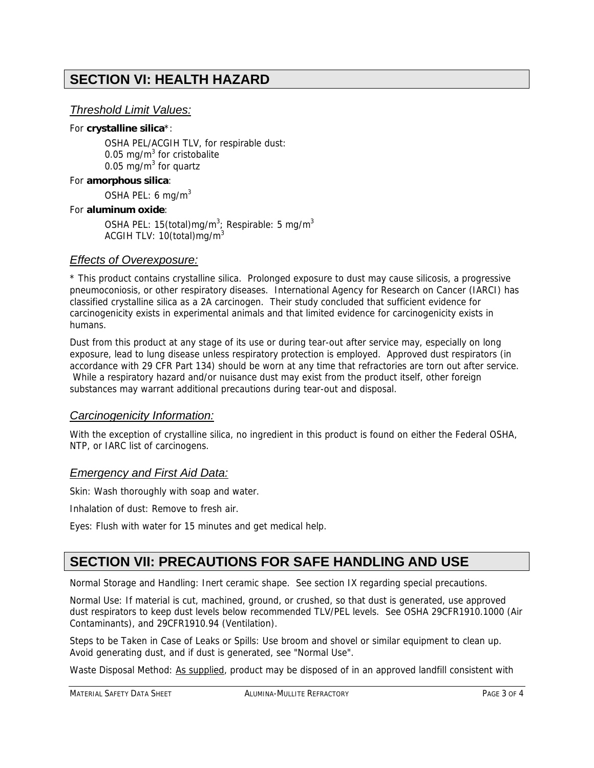## **SECTION VI: HEALTH HAZARD**

### *Threshold Limit Values:*

#### For **crystalline silica**\*:

OSHA PEL/ACGIH TLV, for respirable dust: 0.05 mg/m $3$  for cristobalite 0.05 mg/ $m^3$  for quartz

#### For **amorphous silica**:

OSHA PEL: 6 mg/m $3$ 

#### For **aluminum oxide**:

OSHA PEL: 15(total)mg/m<sup>3</sup>; Respirable: 5 mg/m<sup>3</sup> ACGIH TLV: 10(total)mg/m3

### *Effects of Overexposure:*

\* This product contains crystalline silica. Prolonged exposure to dust may cause silicosis, a progressive pneumoconiosis, or other respiratory diseases. International Agency for Research on Cancer (IARCI) has classified crystalline silica as a 2A carcinogen. Their study concluded that sufficient evidence for carcinogenicity exists in experimental animals and that limited evidence for carcinogenicity exists in humans.

Dust from this product at any stage of its use or during tear-out after service may, especially on long exposure, lead to lung disease unless respiratory protection is employed. Approved dust respirators (in accordance with 29 CFR Part 134) should be worn at any time that refractories are torn out after service. While a respiratory hazard and/or nuisance dust may exist from the product itself, other foreign substances may warrant additional precautions during tear-out and disposal.

### *Carcinogenicity Information:*

With the exception of crystalline silica, no ingredient in this product is found on either the Federal OSHA, NTP, or IARC list of carcinogens.

### *Emergency and First Aid Data:*

Skin: Wash thoroughly with soap and water.

Inhalation of dust: Remove to fresh air.

Eyes: Flush with water for 15 minutes and get medical help.

### **SECTION VII: PRECAUTIONS FOR SAFE HANDLING AND USE**

Normal Storage and Handling: Inert ceramic shape. See section IX regarding special precautions.

Normal Use: If material is cut, machined, ground, or crushed, so that dust is generated, use approved dust respirators to keep dust levels below recommended TLV/PEL levels. See OSHA 29CFR1910.1000 (Air Contaminants), and 29CFR1910.94 (Ventilation).

Steps to be Taken in Case of Leaks or Spills: Use broom and shovel or similar equipment to clean up. Avoid generating dust, and if dust is generated, see "Normal Use".

Waste Disposal Method: As supplied, product may be disposed of in an approved landfill consistent with